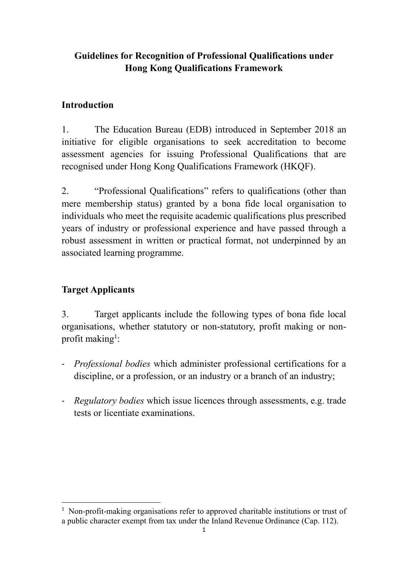# **Guidelines for Recognition of Professional Qualifications under Hong Kong Qualifications Framework**

## **Introduction**

1. The Education Bureau (EDB) introduced in September 2018 an initiative for eligible organisations to seek accreditation to become assessment agencies for issuing Professional Qualifications that are recognised under Hong Kong Qualifications Framework (HKQF).

2. "Professional Qualifications" refers to qualifications (other than mere membership status) granted by a bona fide local organisation to individuals who meet the requisite academic qualifications plus prescribed years of industry or professional experience and have passed through a robust assessment in written or practical format, not underpinned by an associated learning programme.

## **Target Applicants**

3. Target applicants include the following types of bona fide local organisations, whether statutory or non-statutory, profit making or nonprofit making<sup>1</sup>:

- *Professional bodies* which administer professional certifications for a discipline, or a profession, or an industry or a branch of an industry;
- *Regulatory bodies* which issue licences through assessments, e.g. trade tests or licentiate examinations.

<sup>&</sup>lt;u>.</u> <sup>1</sup> Non-profit-making organisations refer to approved charitable institutions or trust of a public character exempt from tax under the Inland Revenue Ordinance (Cap. 112).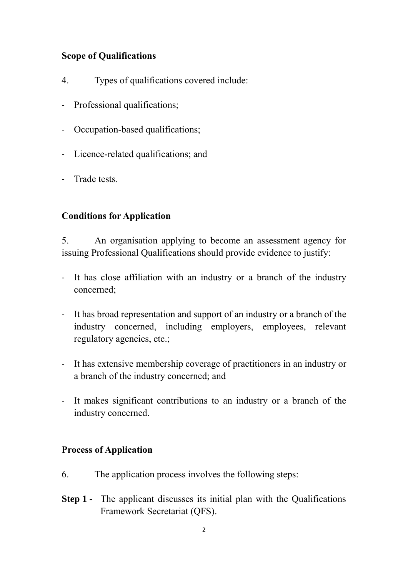# **Scope of Qualifications**

- 4. Types of qualifications covered include:
- Professional qualifications;
- Occupation-based qualifications;
- Licence-related qualifications; and
- Trade tests.

### **Conditions for Application**

5. An organisation applying to become an assessment agency for issuing Professional Qualifications should provide evidence to justify:

- It has close affiliation with an industry or a branch of the industry concerned;
- It has broad representation and support of an industry or a branch of the industry concerned, including employers, employees, relevant regulatory agencies, etc.;
- It has extensive membership coverage of practitioners in an industry or a branch of the industry concerned; and
- It makes significant contributions to an industry or a branch of the industry concerned.

#### **Process of Application**

- 6. The application process involves the following steps:
- **Step 1** The applicant discusses its initial plan with the Qualifications Framework Secretariat (QFS).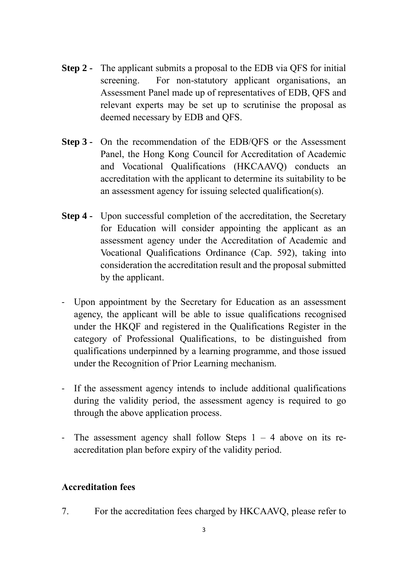- **Step 2 -** The applicant submits a proposal to the EDB via QFS for initial screening. For non-statutory applicant organisations, an Assessment Panel made up of representatives of EDB, QFS and relevant experts may be set up to scrutinise the proposal as deemed necessary by EDB and QFS.
- **Step 3 -** On the recommendation of the EDB/QFS or the Assessment Panel, the Hong Kong Council for Accreditation of Academic and Vocational Qualifications (HKCAAVQ) conducts an accreditation with the applicant to determine its suitability to be an assessment agency for issuing selected qualification(s).
- **Step 4 -** Upon successful completion of the accreditation, the Secretary for Education will consider appointing the applicant as an assessment agency under the Accreditation of Academic and Vocational Qualifications Ordinance (Cap. 592), taking into consideration the accreditation result and the proposal submitted by the applicant.
- Upon appointment by the Secretary for Education as an assessment agency, the applicant will be able to issue qualifications recognised under the HKQF and registered in the Qualifications Register in the category of Professional Qualifications, to be distinguished from qualifications underpinned by a learning programme, and those issued under the Recognition of Prior Learning mechanism.
- If the assessment agency intends to include additional qualifications during the validity period, the assessment agency is required to go through the above application process.
- The assessment agency shall follow Steps  $1 4$  above on its reaccreditation plan before expiry of the validity period.

#### **Accreditation fees**

7. For the accreditation fees charged by HKCAAVQ, please refer to